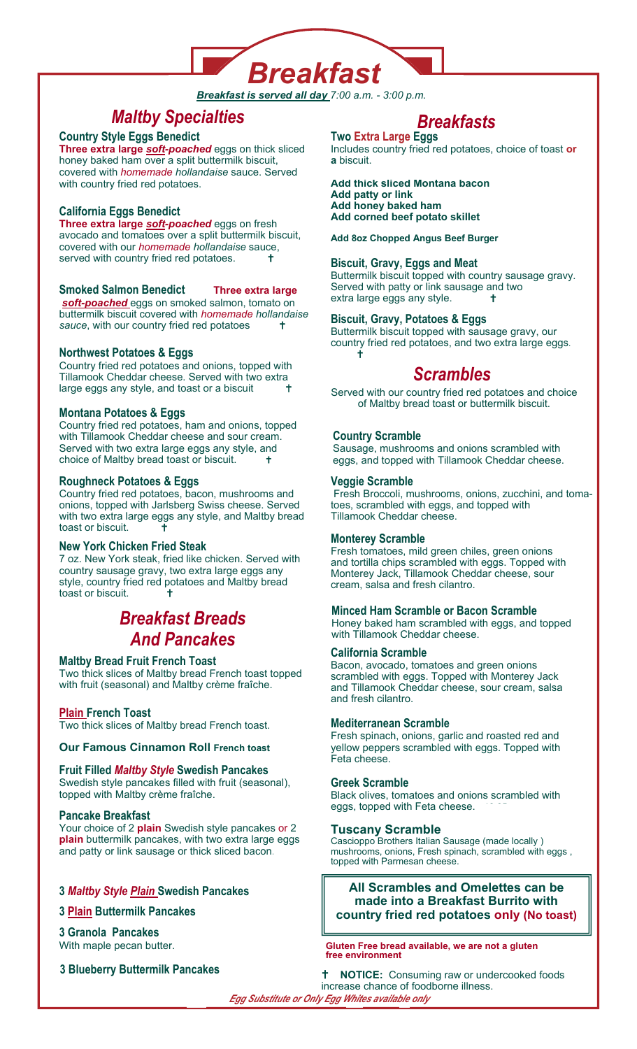

*Breakfast is served all day 7:00 a.m. - 3:00 p.m.* 

# *Maltby Specialties*

# **Country Style Eggs Benedict**

**Three extra large** *soft-poached* eggs on thick sliced honey baked ham over a split buttermilk biscuit, covered with *homemade hollandaise* sauce. Served with country fried red potatoes.

**California Eggs Benedict Three extra large** *soft-poached* eggs on fresh avocado and tomatoes over a split buttermilk biscuit, covered with our *homemade hollandaise* sauce, served with country fried red potatoes. <sup>†</sup>

# **Smoked Salmon Benedict Three extra large**

*soft-poached* eggs on smoked salmon, tomato on buttermilk biscuit covered with *homemade hollandaise*  sauce, with our country fried red potatoes

# **Northwest Potatoes & Eggs**

Country fried red potatoes and onions, topped with Tillamook Cheddar cheese. Served with two extra large eggs any style, and toast or a biscuit

# **Montana Potatoes & Eggs**

Country fried red potatoes, ham and onions, topped with Tillamook Cheddar cheese and sour cream. Served with two extra large eggs any style, and choice of Maltby bread toast or biscuit.

# **Roughneck Potatoes & Eggs**

Country fried red potatoes, bacon, mushrooms and onions, topped with Jarlsberg Swiss cheese. Served with two extra large eggs any style, and Maltby bread toast or biscuit.

# **New York Chicken Fried Steak**

7 oz. New York steak, fried like chicken. Served with country sausage gravy, two extra large eggs any style, country fried red potatoes and Maltby bread toast or biscuit.

# *Breakfast Breads And Pancakes*

# **Maltby Bread Fruit French Toast**

Two thick slices of Maltby bread French toast topped with fruit (seasonal) and Maltby crème fraîche.

# **Plain French Toast**

Two thick slices of Maltby bread French toast.

# **Our Famous Cinnamon Roll French toast**

# **Fruit Filled** *Maltby Style* **Swedish Pancakes**

Swedish style pancakes filled with fruit (seasonal), topped with Maltby crème fraîche.

# **Pancake Breakfast**

Your choice of 2 **plain** Swedish style pancakes or 2 **plain** buttermilk pancakes, with two extra large eggs and patty or link sausage or thick sliced bacon.

# **3 Maltby Style Plain Swedish Pancakes**

# **3 Plain Buttermilk Pancakes**

# **3 Granola Pancakes**

With maple pecan butter.

**3 Blueberry Buttermilk Pancakes** 

# *Breakfasts*

**Two Extra Large Eggs** Includes country fried red potatoes, choice of toast **or a** biscuit.

#### **Add thick sliced Montana bacon Add patty or link Add honey baked ham Add corned beef potato skillet**

## **Add 8oz Chopped Angus Beef Burger**

# **Biscuit, Gravy, Eggs and Meat**

Buttermilk biscuit topped with country sausage gravy. Served with patty or link sausage and two extra large eggs any style.

# **Biscuit, Gravy, Potatoes & Eggs**

Buttermilk biscuit topped with sausage gravy, our country fried red potatoes, and two extra large eggs. 13.50

# *Scrambles*

Served with our country fried red potatoes and choice of Maltby bread toast or buttermilk biscuit.

# **Country Scramble**

Sausage, mushrooms and onions scrambled with eggs, and topped with Tillamook Cheddar cheese.

## **Veggie Scramble**

 Fresh Broccoli, mushrooms, onions, zucchini, and tomatoes, scrambled with eggs, and topped with Tillamook Cheddar cheese.

# **Monterey Scramble**

Fresh tomatoes, mild green chiles, green onions and tortilla chips scrambled with eggs. Topped with Monterey Jack, Tillamook Cheddar cheese, sour cream, salsa and fresh cilantro.

# **Minced Ham Scramble or Bacon Scramble**

Honey baked ham scrambled with eggs, and topped with Tillamook Cheddar cheese.

# **California Scramble**

Bacon, avocado, tomatoes and green onions scrambled with eggs. Topped with Monterey Jack and Tillamook Cheddar cheese, sour cream, salsa and fresh cilantro.

## **Mediterranean Scramble**

Fresh spinach, onions, garlic and roasted red and yellow peppers scrambled with eggs. Topped with Feta cheese.

## **Greek Scramble**

Black olives, tomatoes and onions scrambled with eggs, topped with Feta cheese.

## **Tuscany Scramble**

Cascioppo Brothers Italian Sausage (made locally ) mushrooms, onions, Fresh spinach, scrambled with eggs , topped with Parmesan cheese.

# **All Scrambles and Omelettes can be made into a Breakfast Burrito with country fried red potatoes only (No toast)**

**Gluten Free bread available, we are not a gluten free environment**

**NOTICE:** Consuming raw or undercooked foods increase chance of foodborne illness. *Egg Substitute or Only Egg Whites available only*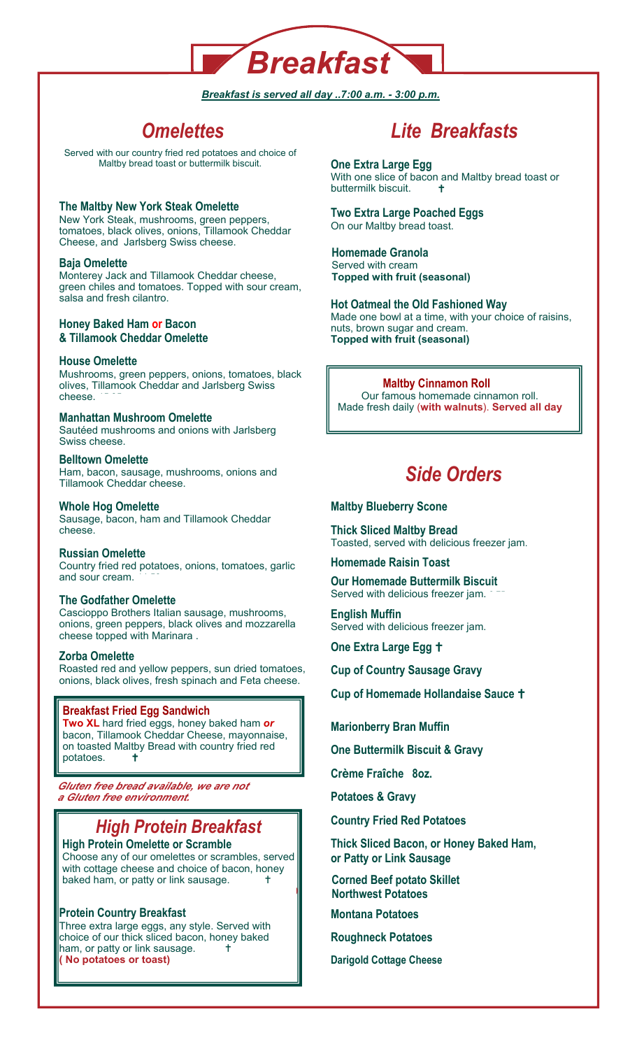

# *Breakfast is served all day ..7:00 a.m. - 3:00 p.m.*

# *Omelettes*

Served with our country fried red potatoes and choice of Maltby bread toast or buttermilk biscuit.

**The Maltby New York Steak Omelette** New York Steak, mushrooms, green peppers, tomatoes, black olives, onions, Tillamook Cheddar Cheese, and Jarlsberg Swiss cheese.

# **Baja Omelette**

Monterey Jack and Tillamook Cheddar cheese, green chiles and tomatoes. Topped with sour cream, salsa and fresh cilantro.

# **Honey Baked Ham or Bacon & Tillamook Cheddar Omelette**

# **House Omelette**

Mushrooms, green peppers, onions, tomatoes, black olives, Tillamook Cheddar and Jarlsberg Swiss cheese. 15.95 **add meat** 3.25

# **Manhattan Mushroom Omelette**

Sautéed mushrooms and onions with Jarlsberg Swiss cheese

# **Belltown Omelette**

Ham, bacon, sausage, mushrooms, onions and Tillamook Cheddar cheese.

## **Whole Hog Omelette**

Sausage, bacon, ham and Tillamook Cheddar cheese.

# **Russian Omelette**

Country fried red potatoes, onions, tomatoes, garlic and sour cream.

## **The Godfather Omelette**

Cascioppo Brothers Italian sausage, mushrooms, onions, green peppers, black olives and mozzarella cheese topped with Marinara.

## **Zorba Omelette**

Roasted red and yellow peppers, sun dried tomatoes, onions, black olives, fresh spinach and Feta cheese.

# **Breakfast Fried Egg Sandwich**

**Two XL** hard fried eggs, honey baked ham *or*  bacon, Tillamook Cheddar Cheese, mayonnaise, on toasted Maltby Bread with country fried red potatoes. **+** 

*Gluten free bread available, we are not a Gluten free environment.*

# *High Protein Breakfast*

**High Protein Omelette or Scramble**  Choose any of our omelettes or scrambles, served with cottage cheese and choice of bacon, honey baked ham, or patty or link sausage. **(No potatoes or toast) Maltby Omelette add 2.00** 

# **Protein Country Breakfast**

Three extra large eggs, any style. Served with choice of our thick sliced bacon, honey baked ham, or patty or link sausage. **1 ( No potatoes or toast)** 

# *Lite Breakfasts*

**One Extra Large Egg**  With one slice of bacon and Maltby bread toast or buttermilk biscuit.

# **Two Extra Large Poached Eggs**

On our Maltby bread toast. **Homemade Granola** 

Served with cream **Topped with fruit (seasonal)** 

# **Hot Oatmeal the Old Fashioned Way**

Made one bowl at a time, with your choice of raisins, nuts, brown sugar and cream. **Topped with fruit (seasonal)** 

**Maltby Cinnamon Roll** Our famous homemade cinnamon roll. Made fresh daily (**with walnuts**). **Served all day** 

# *Side Orders*

# **Maltby Blueberry Scone**

**Thick Sliced Maltby Bread**  Toasted, served with delicious freezer jam. 3.75

**Homemade Raisin Toast** 

**Our Homemade Buttermilk Biscuit**  Served with delicious freezer jam.

**English Muffin** Served with delicious freezer jam.

**One Extra Large Egg <sup>+</sup>** 

**Cup of Country Sausage Gravy** 

**Cup of Homemade Hollandaise Sauce +** 

**Marionberry Bran Muffin** 

**One Buttermilk Biscuit & Gravy** 

**Crème Fraîche 8oz.** 

**Potatoes & Gravy** 

**Country Fried Red Potatoes** 

**Thick Sliced Bacon, or Honey Baked Ham, or Patty or Link Sausage** 

**Corned Beef potato Skillet Northwest Potatoes** 

**Montana Potatoes** 

**Roughneck Potatoes** 

**Darigold Cottage Cheese**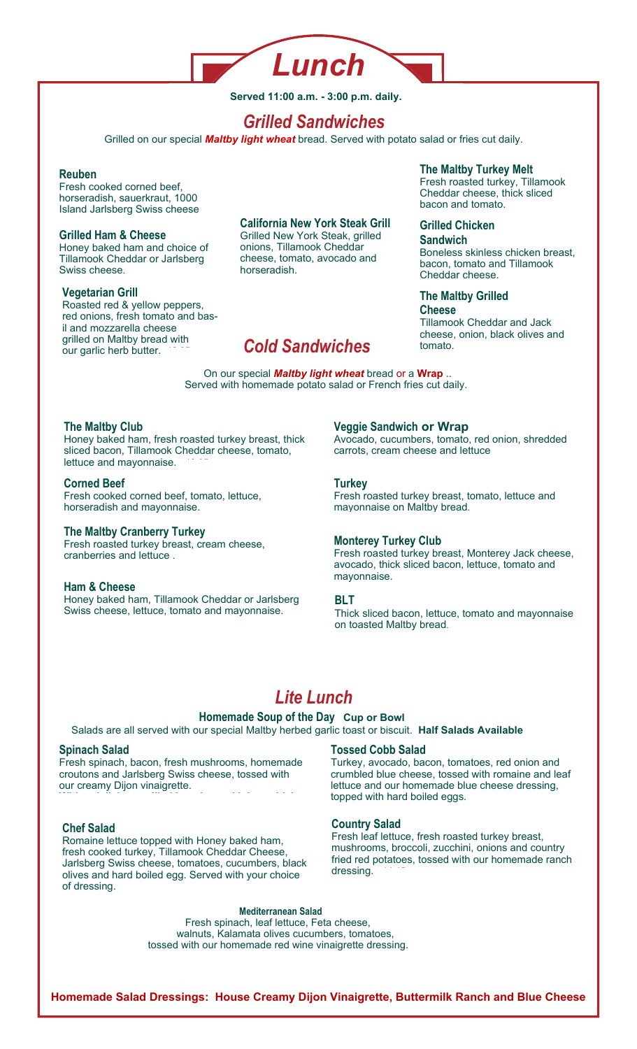

**Served 11:00 a.m. - 3:00 p.m. daily.** 

# *Grilled Sandwiches*

Grilled on our special *Maltby light wheat* bread. Served with potato salad or fries cut daily.

# $Reuben$

Fresh cooked corned beef, horseradish, sauerkraut, 1000 Island Jarlsberg Swiss cheese

## **Grilled Ham & Cheese**

Honey baked ham and choice of Tillamook Cheddar or Jarlsberg Swiss cheese.

## **Vegetarian Grill**

Roasted red & yellow peppers, red onions, fresh tomato and basil and mozzarella cheese grilled on Maltby bread with our garlic herb butter.

# **California New York Steak Grill**

Grilled New York Steak, grilled onions, Tillamook Cheddar cheese, tomato, avocado and horseradish.

# *Cold Sandwiches*

## On our special *Maltby light wheat* bread or a **Wrap** .. Served with homemade potato salad or French fries cut daily.

# **The Maltby Club**

Honey baked ham, fresh roasted turkey breast, thick sliced bacon, Tillamook Cheddar cheese, tomato, lettuce and mayonnaise.

## **Corned Beef**

Fresh cooked corned beef, tomato, lettuce, horseradish and mayonnaise.

# **The Maltby Cranberry Turkey**

Fresh roasted turkey breast, cream cheese, cranberries and lettuce.

# **Ham & Cheese**

Honey baked ham, Tillamook Cheddar or Jarlsberg Swiss cheese, lettuce, tomato and mayonnaise.

**Veggie Sandwich or Wrap** 

Avocado, cucumbers, tomato, red onion, shredded carrots, cream cheese and lettuce

**The Maltby Turkey Melt** Fresh roasted turkey, Tillamook Cheddar cheese, thick sliced

Boneless skinless chicken breast, bacon, tomato and Tillamook

Tillamook Cheddar and Jack cheese, onion, black olives and

bacon and tomato.

**Grilled Chicken Sandwich** 

Cheddar cheese.

**Cheese** 

tomato

**The Maltby Grilled** 

## **Turkey**

Fresh roasted turkey breast, tomato, lettuce and mayonnaise on Maltby bread.

# **Monterey Turkey Club**

Fresh roasted turkey breast, Monterey Jack cheese, avocado, thick sliced bacon, lettuce, tomato and mayonnaise.

## **BLT**

Thick sliced bacon, lettuce, tomato and mayonnaise on toasted Maltby bread.

# *Lite Lunch*

**Homemade Soup of the Day Cup or Bowl**Salads are all served with our special Maltby herbed garlic toast or biscuit. Half Salads Available

# **Spinach Salad**

Fresh spinach, bacon, fresh mushrooms, homemade croutons and Jarlsberg Swiss cheese, tossed with our creamy Dijon vinaigrette. **With a delicious grilled boneless, skinless chick-**

## **Chef Salad**

Romaine lettuce topped with Honey baked ham, fresh cooked turkey, Tillamook Cheddar Cheese, Jarlsberg Swiss cheese, tomatoes, cucumbers, black olives and hard boiled egg. Served with your choice of dressing.

## **Tossed Cobb Salad**

Turkey, avocado, bacon, tomatoes, red onion and crumbled blue cheese, tossed with romaine and leaf lettuce and our homemade blue cheese dressing, topped with hard boiled eggs.

## **Country Salad**

Fresh leaf lettuce, fresh roasted turkey breast, mushrooms, broccoli, zucchini, onions and country fried red potatoes, tossed with our homemade ranch dressing.

#### **Mediterranean Salad**

 Fresh spinach, leaf lettuce, Feta cheese, walnuts, Kalamata olives cucumbers, tomatoes, tossed with our homemade red wine vinaigrette dressing.

**Homemade Salad Dressings: House Creamy Dijon Vinaigrette, Buttermilk Ranch and Blue Cheese**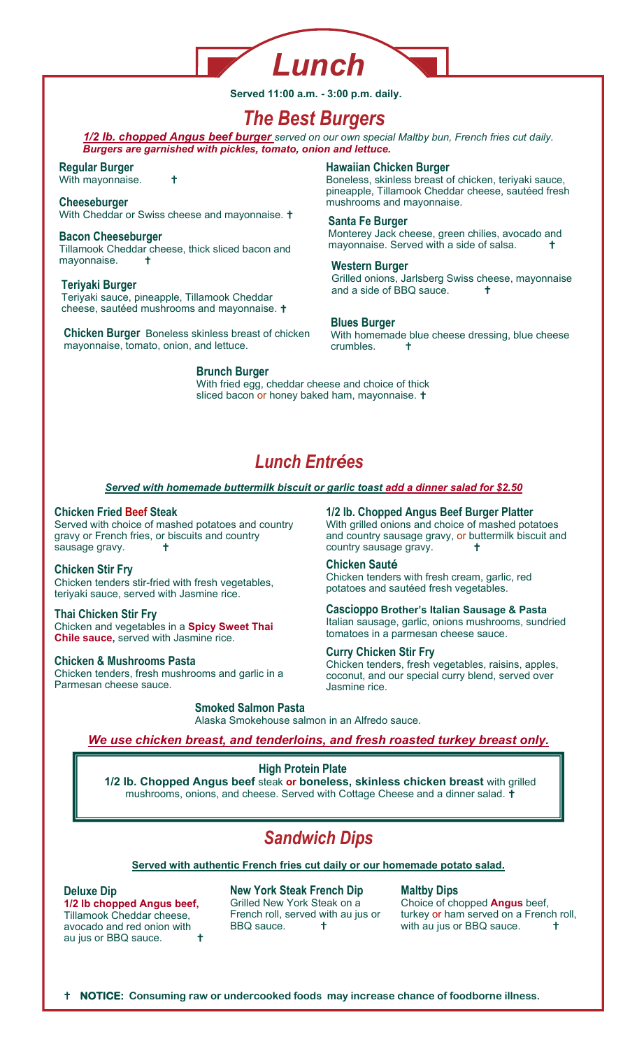

**Served 11:00 a.m. - 3:00 p.m. daily.** 

# *The Best Burgers*

*1/2 lb. chopped Angus beef burger served on our own special Maltby bun, French fries cut daily.*  **Burgers are garnished with pickles, tomato, onion and lettuce.** 

## **Regular Burger**

With mayonnaise. **1** 

# With Cheddar or Swiss cheese and mayonnaise. <sup>+</sup>

#### **Bacon Cheeseburger**  Tillamook Cheddar cheese, thick sliced bacon and mayonnaise.  $\mathbf{t}$

Teriyaki sauce, pineapple, Tillamook Cheddar cheese, sautéed mushrooms and mayonnaise.

**Chicken Burger** Boneless skinless breast of chicken mayonnaise, tomato, onion, and lettuce.

# **Brunch Burger**

# **Hawaiian Chicken Burger**

Boneless, skinless breast of chicken, teriyaki sauce, pineapple, Tillamook Cheddar cheese, sautéed fresh **Cheeseburger 14.45 mushrooms and mayonnaise.** 14.45 mushrooms and mayonnaise.

# **Santa Fe Burger**

Monterey Jack cheese, green chilies, avocado and mayonnaise. Served with a side of salsa.

# **Western Burger**

Grilled onions, Jarlsberg Swiss cheese, mayonnaise **Teriyaki Burger and a side of BBQ sauce.** 

# **Blues Burger**

With homemade blue cheese dressing, blue cheese crumbles.

With fried egg, cheddar cheese and choice of thick sliced bacon or honey baked ham, mayonnaise. **t** 

# *Lunch Entrées*

# *Served with homemade buttermilk biscuit or garlic toast add a dinner salad for \$2.50*

# **Chicken Fried Beef Steak**

Served with choice of mashed potatoes and country gravy or French fries, or biscuits and country sausage gravy.  $\qquad \qquad$   $\qquad$   $\qquad$ 

# **Chicken Stir Fry**

Chicken tenders stir-fried with fresh vegetables, teriyaki sauce, served with Jasmine rice.

## **Thai Chicken Stir Fry**

Chicken and vegetables in a **Spicy Sweet Thai Chile sauce, served with Jasmine rice.** 

# **Chicken & Mushrooms Pasta**

Chicken tenders, fresh mushrooms and garlic in a Parmesan cheese sauce.

**1/2 lb. Chopped Angus Beef Burger Platter** With grilled onions and choice of mashed potatoes and country sausage gravy, or buttermilk biscuit and country sausage gravy.  $\mathsf{t}$ 

# **Chicken Sauté**

Chicken tenders with fresh cream, garlic, red potatoes and sautéed fresh vegetables.

**Cascioppo Brother's Italian Sausage & Pasta**  Italian sausage, garlic, onions mushrooms, sundried tomatoes in a parmesan cheese sauce.

## **Curry Chicken Stir Fry**

Chicken tenders, fresh vegetables, raisins, apples, coconut, and our special curry blend, served over **Jasmine rice.** 

# **Smoked Salmon Pasta**

Alaska Smokehouse salmon in an Alfredo sauce.

*We use chicken breast, and tenderloins, and fresh roasted turkey breast only.*

# **High Protein Plate**

**1/2 lb. Chopped Angus beef** steak **or boneless, skinless chicken breast** with grilled mushrooms, onions, and cheese. Served with Cottage Cheese and a dinner salad. **T** 

# *Sandwich Dips*

## **Served with authentic French fries cut daily or our homemade potato salad.**

## **Deluxe Dip**

**1/2 lb chopped Angus beef,**  Tillamook Cheddar cheese, avocado and red onion with au jus or BBQ sauce.

**New York Steak French Dip**  Grilled New York Steak on a French roll, served with au jus or BBQ sauce. **1** 

## **Maltby Dips**

Choice of chopped **Angus** beef, turkey or ham served on a French roll, with au jus or BBQ sauce.  $\pm$ 

**NOTICE: Consuming raw or undercooked foods may increase chance of foodborne illness.**